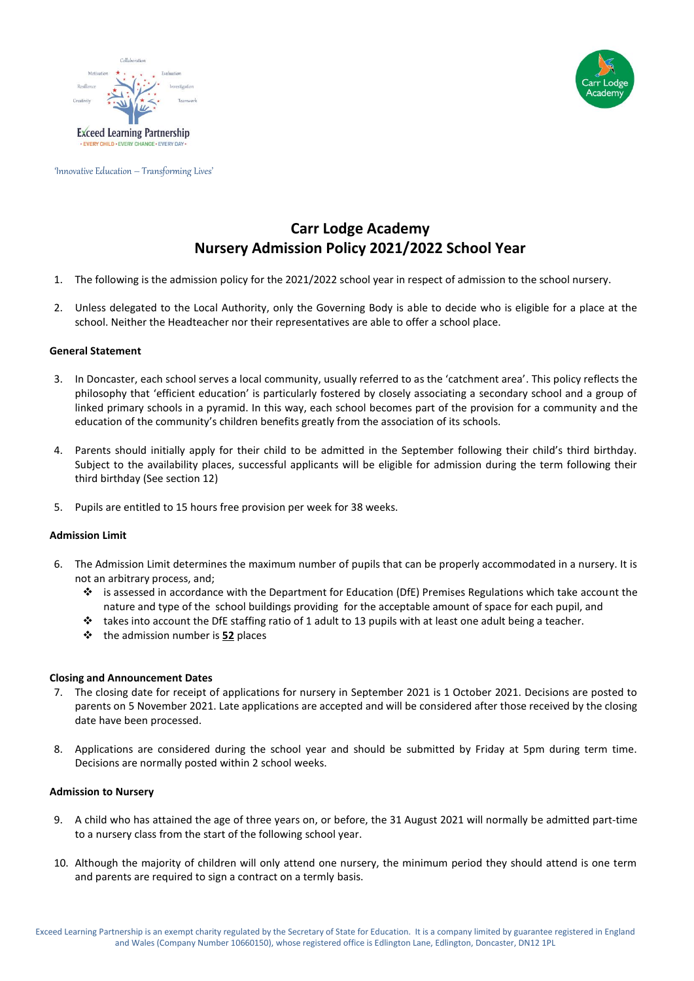





'Innovative Education – Transforming Lives'

# **Carr Lodge Academy Nursery Admission Policy 2021/2022 School Year**

- 1. The following is the admission policy for the 2021/2022 school year in respect of admission to the school nursery.
- 2. Unless delegated to the Local Authority, only the Governing Body is able to decide who is eligible for a place at the school. Neither the Headteacher nor their representatives are able to offer a school place.

# **General Statement**

- 3. In Doncaster, each school serves a local community, usually referred to as the 'catchment area'. This policy reflects the philosophy that 'efficient education' is particularly fostered by closely associating a secondary school and a group of linked primary schools in a pyramid. In this way, each school becomes part of the provision for a community and the education of the community's children benefits greatly from the association of its schools.
- 4. Parents should initially apply for their child to be admitted in the September following their child's third birthday. Subject to the availability places, successful applicants will be eligible for admission during the term following their third birthday (See section 12)
- 5. Pupils are entitled to 15 hours free provision per week for 38 weeks.

# **Admission Limit**

- 6. The Admission Limit determines the maximum number of pupils that can be properly accommodated in a nursery. It is not an arbitrary process, and;
	- is assessed in accordance with the Department for Education (DfE) Premises Regulations which take account the nature and type of the school buildings providing for the acceptable amount of space for each pupil, and
	- $\cdot \cdot$  takes into account the DfE staffing ratio of 1 adult to 13 pupils with at least one adult being a teacher.
	- the admission number is **52** places

# **Closing and Announcement Dates**

- 7. The closing date for receipt of applications for nursery in September 2021 is 1 October 2021. Decisions are posted to parents on 5 November 2021. Late applications are accepted and will be considered after those received by the closing date have been processed.
- 8. Applications are considered during the school year and should be submitted by Friday at 5pm during term time. Decisions are normally posted within 2 school weeks.

## **Admission to Nursery**

- 9. A child who has attained the age of three years on, or before, the 31 August 2021 will normally be admitted part-time to a nursery class from the start of the following school year.
- 10. Although the majority of children will only attend one nursery, the minimum period they should attend is one term and parents are required to sign a contract on a termly basis.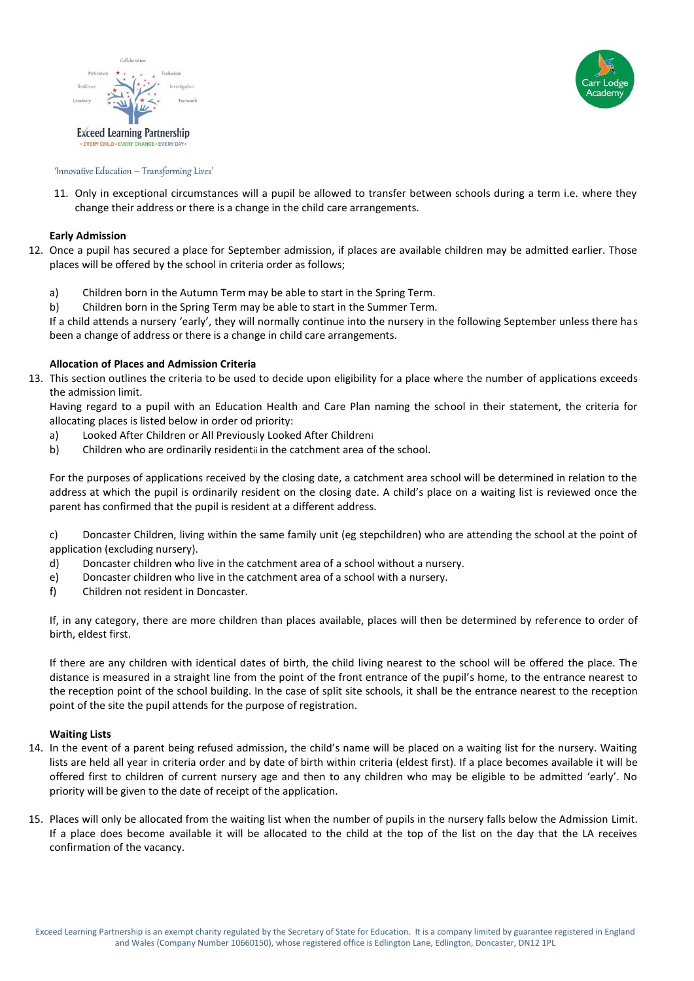



#### 'Innovative Education – Transforming Lives'

11. Only in exceptional circumstances will a pupil be allowed to transfer between schools during a term i.e. where they change their address or there is a change in the child care arrangements.

### **Early Admission**

- 12. Once a pupil has secured a place for September admission, if places are available children may be admitted earlier. Those places will be offered by the school in criteria order as follows;
	- a) Children born in the Autumn Term may be able to start in the Spring Term.
	- b) Children born in the Spring Term may be able to start in the Summer Term.

If a child attends a nursery 'early', they will normally continue into the nursery in the following September unless there has been a change of address or there is a change in child care arrangements.

## **Allocation of Places and Admission Criteria**

13. This section outlines the criteria to be used to decide upon eligibility for a place where the number of applications exceeds the admission limit.

Having regard to a pupil with an Education Health and Care Plan naming the school in their statement, the criteria for allocating places is listed below in order od priority:

- a) Looked After Children or All Previously Looked After Childreni
- b) Children who are ordinarily residentii in the catchment area of the school.

For the purposes of applications received by the closing date, a catchment area school will be determined in relation to the address at which the pupil is ordinarily resident on the closing date. A child's place on a waiting list is reviewed once the parent has confirmed that the pupil is resident at a different address.

c) Doncaster Children, living within the same family unit (eg stepchildren) who are attending the school at the point of application (excluding nursery).

- d) Doncaster children who live in the catchment area of a school without a nursery.
- e) Doncaster children who live in the catchment area of a school with a nursery.
- f) Children not resident in Doncaster.

If, in any category, there are more children than places available, places will then be determined by reference to order of birth, eldest first.

If there are any children with identical dates of birth, the child living nearest to the school will be offered the place. The distance is measured in a straight line from the point of the front entrance of the pupil's home, to the entrance nearest to the reception point of the school building. In the case of split site schools, it shall be the entrance nearest to the reception point of the site the pupil attends for the purpose of registration.

#### **Waiting Lists**

- 14. In the event of a parent being refused admission, the child's name will be placed on a waiting list for the nursery. Waiting lists are held all year in criteria order and by date of birth within criteria (eldest first). If a place becomes available it will be offered first to children of current nursery age and then to any children who may be eligible to be admitted 'early'. No priority will be given to the date of receipt of the application.
- 15. Places will only be allocated from the waiting list when the number of pupils in the nursery falls below the Admission Limit. If a place does become available it will be allocated to the child at the top of the list on the day that the LA receives confirmation of the vacancy.